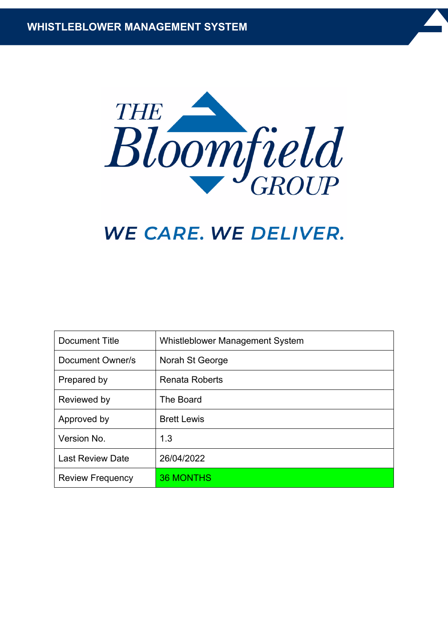

# **WE CARE. WE DELIVER.**

| Document Title          | <b>Whistleblower Management System</b> |
|-------------------------|----------------------------------------|
| Document Owner/s        | Norah St George                        |
| Prepared by             | <b>Renata Roberts</b>                  |
| Reviewed by             | The Board                              |
| Approved by             | <b>Brett Lewis</b>                     |
| Version No.             | 1.3                                    |
| <b>Last Review Date</b> | 26/04/2022                             |
| <b>Review Frequency</b> | <b>36 MONTHS</b>                       |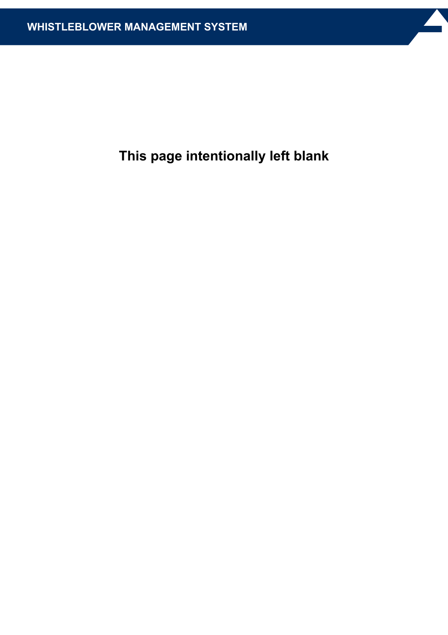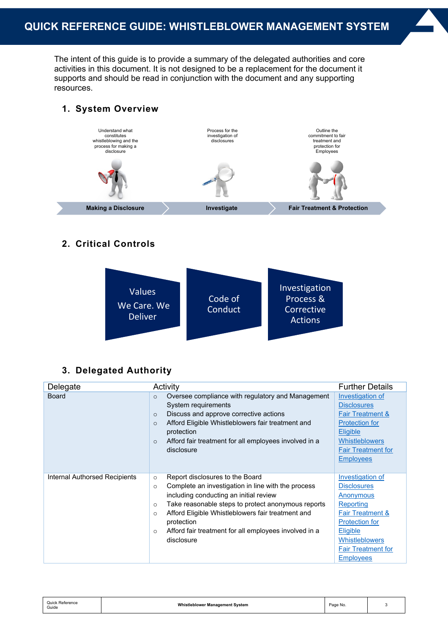The intent of this guide is to provide a summary of the delegated authorities and core activities in this document. It is not designed to be a replacement for the document it supports and should be read in conjunction with the document and any supporting resources.

# **1. System Overview**



# **2. Critical Controls**



# **3. Delegated Authority**

| Delegate                      | Activity                                                         | <b>Further Details</b>      |
|-------------------------------|------------------------------------------------------------------|-----------------------------|
| <b>Board</b>                  | Oversee compliance with regulatory and Management<br>$\circ$     | Investigation of            |
|                               | System requirements                                              | <b>Disclosures</b>          |
|                               | Discuss and approve corrective actions<br>$\circ$                | <b>Fair Treatment &amp;</b> |
|                               | Afford Eligible Whistleblowers fair treatment and<br>$\Omega$    | <b>Protection for</b>       |
|                               | protection                                                       | <b>Eligible</b>             |
|                               | Afford fair treatment for all employees involved in a<br>$\circ$ | <b>Whistleblowers</b>       |
|                               | disclosure                                                       | <b>Fair Treatment for</b>   |
|                               |                                                                  | <b>Employees</b>            |
|                               |                                                                  |                             |
| Internal Authorsed Recipients | Report disclosures to the Board<br>$\circ$                       | <b>Investigation of</b>     |
|                               | Complete an investigation in line with the process<br>$\circ$    | <b>Disclosures</b>          |
|                               | including conducting an initial review                           | Anonymous                   |
|                               | Take reasonable steps to protect anonymous reports<br>$\circ$    | Reporting                   |
|                               | Afford Eligible Whistleblowers fair treatment and<br>$\circ$     | <b>Fair Treatment &amp;</b> |
|                               | protection                                                       | <b>Protection for</b>       |
|                               | Afford fair treatment for all employees involved in a<br>$\circ$ | <b>Eligible</b>             |
|                               | disclosure                                                       | <b>Whistleblowers</b>       |
|                               |                                                                  | <b>Fair Treatment for</b>   |
|                               |                                                                  | <b>Employees</b>            |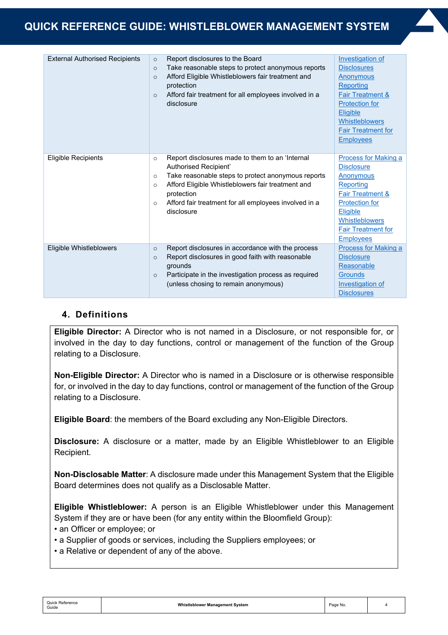| <b>External Authorised Recipients</b> | Report disclosures to the Board<br>$\circ$<br>Take reasonable steps to protect anonymous reports<br>$\circ$<br>Afford Eligible Whistleblowers fair treatment and<br>$\Omega$<br>protection<br>Afford fair treatment for all employees involved in a<br>$\circ$<br>disclosure                                         | <b>Investigation of</b><br><b>Disclosures</b><br>Anonymous<br>Reporting<br><b>Fair Treatment &amp;</b><br><b>Protection for</b><br><b>Eligible</b><br>Whistleblowers<br><b>Fair Treatment for</b><br><b>Employees</b> |
|---------------------------------------|----------------------------------------------------------------------------------------------------------------------------------------------------------------------------------------------------------------------------------------------------------------------------------------------------------------------|-----------------------------------------------------------------------------------------------------------------------------------------------------------------------------------------------------------------------|
| Eligible Recipients                   | Report disclosures made to them to an 'Internal<br>$\circ$<br>Authorised Recipient'<br>Take reasonable steps to protect anonymous reports<br>$\circ$<br>Afford Eligible Whistleblowers fair treatment and<br>$\circ$<br>protection<br>Afford fair treatment for all employees involved in a<br>$\circ$<br>disclosure | <b>Process for Making a</b><br><b>Disclosure</b><br>Anonymous<br>Reporting<br><b>Fair Treatment &amp;</b><br><b>Protection for</b><br>Eligible<br>Whistleblowers<br><b>Fair Treatment for</b><br><b>Employees</b>     |
| Eligible Whistleblowers               | Report disclosures in accordance with the process<br>$\circ$<br>Report disclosures in good faith with reasonable<br>$\circ$<br>grounds<br>Participate in the investigation process as required<br>$\circ$<br>(unless chosing to remain anonymous)                                                                    | Process for Making a<br><b>Disclosure</b><br>Reasonable<br><b>Grounds</b><br><b>Investigation of</b><br><b>Disclosures</b>                                                                                            |

# **4. Definitions**

**Eligible Director:** A Director who is not named in a Disclosure, or not responsible for, or involved in the day to day functions, control or management of the function of the Group relating to a Disclosure.

**Non-Eligible Director:** A Director who is named in a Disclosure or is otherwise responsible for, or involved in the day to day functions, control or management of the function of the Group relating to a Disclosure.

**Eligible Board**: the members of the Board excluding any Non-Eligible Directors.

**Disclosure:** A disclosure or a matter, made by an Eligible Whistleblower to an Eligible Recipient.

**Non-Disclosable Matter**: A disclosure made under this Management System that the Eligible Board determines does not qualify as a Disclosable Matter.

**Eligible Whistleblower:** A person is an Eligible Whistleblower under this Management System if they are or have been (for any entity within the Bloomfield Group):

- an Officer or employee; or
- a Supplier of goods or services, including the Suppliers employees; or
- a Relative or dependent of any of the above.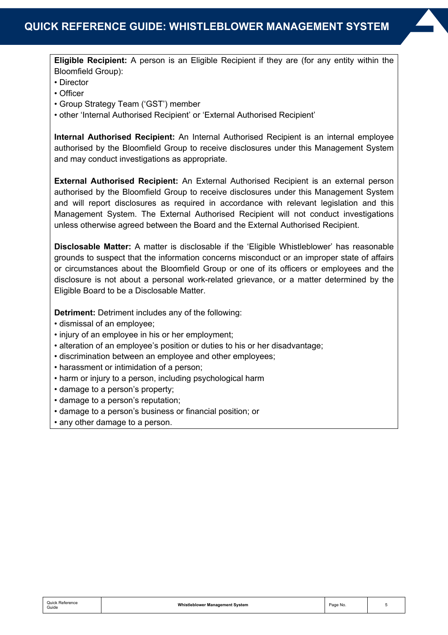**Eligible Recipient:** A person is an Eligible Recipient if they are (for any entity within the Bloomfield Group):

- Director
- Officer
- Group Strategy Team ('GST') member
- other 'Internal Authorised Recipient' or 'External Authorised Recipient'

**Internal Authorised Recipient:** An Internal Authorised Recipient is an internal employee authorised by the Bloomfield Group to receive disclosures under this Management System and may conduct investigations as appropriate.

**External Authorised Recipient:** An External Authorised Recipient is an external person authorised by the Bloomfield Group to receive disclosures under this Management System and will report disclosures as required in accordance with relevant legislation and this Management System. The External Authorised Recipient will not conduct investigations unless otherwise agreed between the Board and the External Authorised Recipient.

**Disclosable Matter:** A matter is disclosable if the 'Eligible Whistleblower' has reasonable grounds to suspect that the information concerns misconduct or an improper state of affairs or circumstances about the Bloomfield Group or one of its officers or employees and the disclosure is not about a personal work-related grievance, or a matter determined by the Eligible Board to be a Disclosable Matter.

**Detriment:** Detriment includes any of the following:

- dismissal of an employee;
- injury of an employee in his or her employment;
- alteration of an employee's position or duties to his or her disadvantage;
- discrimination between an employee and other employees;
- harassment or intimidation of a person;
- harm or injury to a person, including psychological harm
- damage to a person's property;
- damage to a person's reputation;
- damage to a person's business or financial position; or
- any other damage to a person.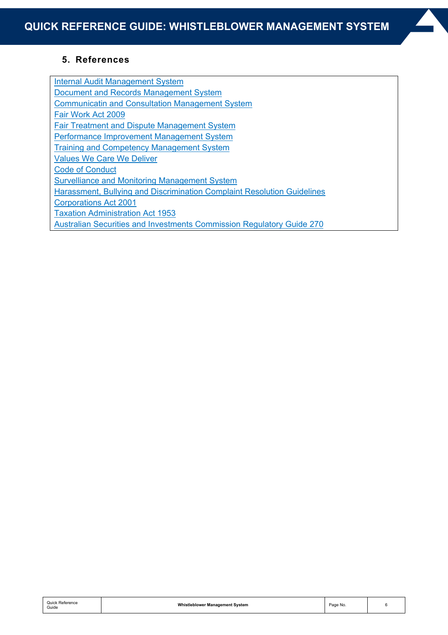### **5. References**

[Internal Audit Management System](http://m-files.bloomcoll.local:81/REST/objects/0/86034/latest/files/100050/content?auth=ASyyB1WVwbfo41EHxdyFmaD6WTodgP4s9A0iA9-5LZDI82Mjw2HVf3KmjVNV7QlloCWU3iD0sKkFP3s9Xp0g1QF5YUb7OjeglGE05cqrNbOV0JbnS0Qy_xyWl1gkSDljDamCyD4HMbFzUMVO7mbdnBfJpTruNKxCbhLMjKooP_rpIgBrI_WCcTkfa_WhTDBL0h9SSG6eQT5KVo0m2nUHlErYzcwTxe_wZxZrTNrd3pe4vn-fmn4eWgf1GoeOoL0_GiYh-Ts5JBCjIxUzaJeyCdgbnKgKf3o_dPGYMTVtqnVdkdXxb7dLPj14A92GB2yXkjH1IwbOi64f9mBtYnTiMg) [Document and Records Management System](http://m-files.bloomcoll.local:81/REST/objects/0/85846/latest/files/99859/content?auth=xsJNXC5xIIzzRwUZv9u7SfX-j40amYr2KOT7yxLGPQPNPlVT6_jpqcNlvGn3tZDgF-wwho7u_fkMoYkK6pLhKNN8F04Dt8rDCWvq_yfxzv8ZpgfNNaEzMIIbRJmYlw0bBjtMDrqSd2mrIPyJHDd2wYvNCgPAr9RVWz2ORb7xdpB8IRVYmIdZURCSdbCo4ayIBGtZJ1rhBj0kVSJZlXlz7BMeipQ6_4ENl67lKGjAX1Ycf0ZcABBRF7r77wLMfcoR_S2W1lcoBAnJIZJGMQhIetNLzh5Yt6Y2ruSPTzaVogGg795_b5Nn1tb_yzqwPNGvOH891auktlD-ahnhu8RRUQ) [Communicatin](http://m-files.bloomcoll.local:81/REST/objects/0/85829/latest/files/99843/content?auth=o2v5IVM-2oZdvJ5lnyo5gqQOiJe9kMV9sBxJr7gxkL184U9kvscH231WOZMJWI70Ugvpk3xR1WW_XB8zsueCztZ8pSb4Tvg_MLqskYNr8UmT7XpH8au_muwDzsJ7yqXyRI3nwwwMRI9nkHsQ8evZ3_B3On1qCo5iYQF8EvCMYr5ZGlxIPl-ROLzXyAhzz4sR760_1olKY6G-Wp0csMG08iNwppVSbLfeMeJYSHUVrzd4ZFJK4M4_g4vcG3nU1sfKkW686I-010pOw_zT9O57Bp2xLEQUy5sFuxA1fwuI4-Xj866_R0TBXxIqWZ72TF5tWrH_OpAab1GokGeYGWZBYQ) and Consultation Management System Fair Work Act 2009 [Fair Treatment and Dispute Management System](http://m-files.bloomcoll.local:81/REST/objects/0/86174/latest/files/100192/content?auth=gwGpGsCGpIThLk9FHbKav9a3un_fYE63a_n2ZBEFINfhKmhWxThd7SufpWv9pxRHd7fF7VphB7AGBZMCXbZhv8AvABzQM76hojLuK1bYSrK_knaM_p2NL3qws6YsC2BrTJXrJk_q-6fQXjhD6khq8s8iGqaDYQcSZK8zhGzU7vYr_zFwqsdoC3fR8n2bCLlOheb9WSmapf1b2tuwQad2fH5TDEscTRNeGrlmBHySTaYPcXmJJ8F-JjuWkV60E54QtOTNzWVEJ8UU9wzFSBQwZ_4LQ8EOrCQNbnR2VABDmyxc5RaYZxY6oy0pEiMnLUMtepHHc9s6emG4Vp-krm1mkg) [Performance Improvement Management System](http://m-files.bloomcoll.local:81/REST/objects/0/86019/latest/files/100035/content?auth=sXajd1NJ3iS1yrID1sjY-ECsPgffeHrxav-ImswSC3ukkx2-4Zg4JnvsLLLbbG_GffiQV_vO2f1JMeZK3kiqPBslldUVi4GlsqZbDZLLRPzcsykktsY-qSBTkVtxyshQL67jYYno4zZgL_VZ8BUgIUDJqdNvVCvUrDaRVLmuD2CengqdkaGRFci-B_P0-YUql8cLSp9gRVYopZS6sKCTnlkJaWWDnvXxabp6JcVzTmCaqzx_-4LYfZXGwEjJd4zngFc4WMxIpBYRDMv6KlksWFMg4IMHnxMdQPkvOuo7pRlQ1w5ajCu6ovEvu5to2yAN6fP05j764lWk2Sos5BHO0Q) [Training and Competency Management System](http://m-files.bloomcoll.local:81/REST/objects/0/85924/latest/files/99940/content?auth=LDWdd0QUSiiEdi-R6sgdoI2hChVswdmKm8mb5lCcrZWrW8fAjfW4nhqvw1G0aM7cN3910HixKzVV-u60qdNFXCr725TeK3GQj2X4POFjR0VRELb042BWwW0lj1ghRXRK3PM7cWg505H_QZLNmFqk-2J8Hd70PWlSc1Nz9Ohll4rTfuRqeowalmW680YCAYnryR7oxa_1vPEetTXM-XSdFOaPQKdACenEDIr0foVp7cxzJHriMp5t0pJ1-WuJ4mnYOGJCbE3SKXDh6ez3WyGcCE6sR80niphLaIkF79lz1tFS6kES_wjW2WsT9w7mOAe3wSOefbsli1DzcjcN3sPEWQ) Values We Care We Deliver Code of Conduct Survelliance and Monitoring Management System [Harassment, Bullying and Discrimination Complaint Resolution Guidelines](http://m-files.bloomcoll.local:81/REST/objects/0/86054/latest/files/100070/content?auth=Qez9yZFQQejcvzMk7hh2loTxD0Rh1IbFq0XdlXGh9FPvpOSLkYbxEs8xpfKKsO2CRQFReetiJV8mg5-jrGp7LmM_x05p3jvk4o34NMWpL16jZe7QIap-tYYV1yAfORElVSAQdqMIQL-2JgZKDhRamZVyWTKre4MwjkpMRCxrN84qYtYsrY1Ef-TeS3HMU5ly-hadT9FPAsYrxJfQZdnszkqky4v-2wJcB9LhcEKHELW-Pc409Tv7RtSw4nJ--keMjm0oijTpVy9WDpNvf-dpO-flvvXrTwQLU_jPg-sH5IB2gcNHpMb6LfPvTXy1XOOLyTLGrM1k_4CRP_3_RCKIjA) Corporations Act 2001 Taxation Administration Act 1953 Australian Securities and Investments Commission Regulatory Guide 270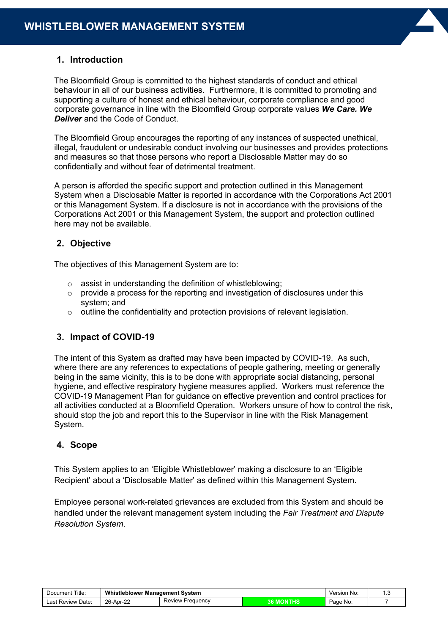#### **1. Introduction**

The Bloomfield Group is committed to the highest standards of conduct and ethical behaviour in all of our business activities. Furthermore, it is committed to promoting and supporting a culture of honest and ethical behaviour, corporate compliance and good corporate governance in line with the Bloomfield Group corporate values *We Care. We Deliver* and the Code of Conduct.

The Bloomfield Group encourages the reporting of any instances of suspected unethical, illegal, fraudulent or undesirable conduct involving our businesses and provides protections and measures so that those persons who report a Disclosable Matter may do so confidentially and without fear of detrimental treatment.

A person is afforded the specific support and protection outlined in this Management System when a Disclosable Matter is reported in accordance with the Corporations Act 2001 or this Management System. If a disclosure is not in accordance with the provisions of the Corporations Act 2001 or this Management System, the support and protection outlined here may not be available.

#### **2. Objective**

The objectives of this Management System are to:

- $\circ$  assist in understanding the definition of whistleblowing;
- o provide a process for the reporting and investigation of disclosures under this system; and
- o outline the confidentiality and protection provisions of relevant legislation.

#### **3. Impact of COVID-19**

The intent of this System as drafted may have been impacted by COVID-19. As such, where there are any references to expectations of people gathering, meeting or generally being in the same vicinity, this is to be done with appropriate social distancing, personal hygiene, and effective respiratory hygiene measures applied. Workers must reference the COVID-19 Management Plan for guidance on effective prevention and control practices for all activities conducted at a Bloomfield Operation. Workers unsure of how to control the risk, should stop the job and report this to the Supervisor in line with the Risk Management System.

#### **4. Scope**

This System applies to an 'Eligible Whistleblower' making a disclosure to an 'Eligible Recipient' about a 'Disclosable Matter' as defined within this Management System.

Employee personal work-related grievances are excluded from this System and should be handled under the relevant management system including the *Fair Treatment and Dispute Resolution System*.

| Title:<br>Document   | <b>Whistleblower Management System</b> |                         | No.<br>Version |  |
|----------------------|----------------------------------------|-------------------------|----------------|--|
| Date:<br>∟ast Review | 26-Apr-22<br>$\sim$                    | <b>Review Frequency</b> | Page No:       |  |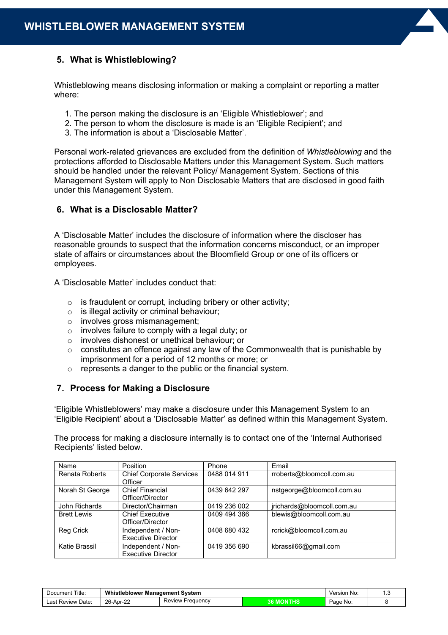# **5. What is Whistleblowing?**

Whistleblowing means disclosing information or making a complaint or reporting a matter where:

- 1. The person making the disclosure is an 'Eligible Whistleblower'; and
- 2. The person to whom the disclosure is made is an 'Eligible Recipient'; and
- 3. The information is about a 'Disclosable Matter'.

Personal work-related grievances are excluded from the definition of *Whistleblowing* and the protections afforded to Disclosable Matters under this Management System. Such matters should be handled under the relevant Policy/ Management System. Sections of this Management System will apply to Non Disclosable Matters that are disclosed in good faith under this Management System.

## **6. What is a Disclosable Matter?**

A 'Disclosable Matter' includes the disclosure of information where the discloser has reasonable grounds to suspect that the information concerns misconduct, or an improper state of affairs or circumstances about the Bloomfield Group or one of its officers or employees.

A 'Disclosable Matter' includes conduct that:

- $\circ$  is fraudulent or corrupt, including bribery or other activity;
- $\circ$  is illegal activity or criminal behaviour;
- o involves gross mismanagement;
- o involves failure to comply with a legal duty; or
- o involves dishonest or unethical behaviour; or
- $\circ$  constitutes an offence against any law of the Commonwealth that is punishable by imprisonment for a period of 12 months or more; or
- $\circ$  represents a danger to the public or the financial system.

## <span id="page-7-0"></span>**7. Process for Making a Disclosure**

'Eligible Whistleblowers' may make a disclosure under this Management System to an 'Eligible Recipient' about a 'Disclosable Matter' as defined within this Management System.

The process for making a disclosure internally is to contact one of the 'Internal Authorised Recipients' listed below.

| Name               | Position                        | Phone        | Email                      |
|--------------------|---------------------------------|--------------|----------------------------|
| Renata Roberts     | <b>Chief Corporate Services</b> | 0488 014 911 | rroberts@bloomcoll.com.au  |
|                    | Officer                         |              |                            |
| Norah St George    | <b>Chief Financial</b>          | 0439 642 297 | nstgeorge@bloomcoll.com.au |
|                    | Officer/Director                |              |                            |
| John Richards      | Director/Chairman               | 0419 236 002 | jrichards@bloomcoll.com.au |
| <b>Brett Lewis</b> | <b>Chief Executive</b>          | 0409 494 366 | blewis@bloomcoll.com.au    |
|                    | Officer/Director                |              |                            |
| Reg Crick          | Independent / Non-              | 0408 680 432 | rcrick@bloomcoll.com.au    |
|                    | <b>Executive Director</b>       |              |                            |
| Katie Brassil      | Independent / Non-              | 0419 356 690 | kbrassil66@gmail.com       |
|                    | <b>Executive Director</b>       |              |                            |

| Document Title:   |           |                         | Whistleblower Management System<br>Version No: |          |  |
|-------------------|-----------|-------------------------|------------------------------------------------|----------|--|
| Last Review Date: | 26-Apr-22 | <b>Review Frequency</b> | 36 MONTHS                                      | Page No: |  |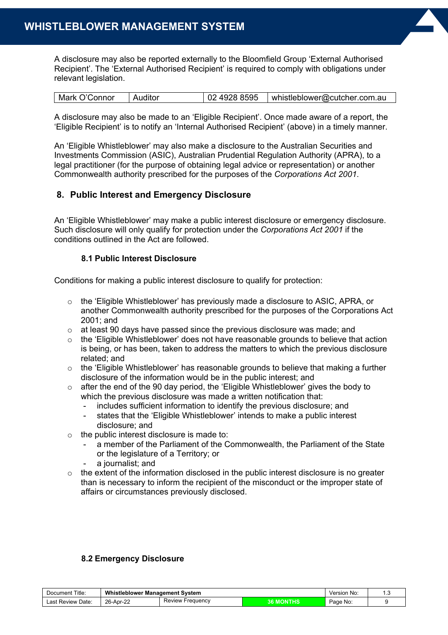A disclosure may also be reported externally to the Bloomfield Group 'External Authorised Recipient'. The 'External Authorised Recipient' is required to comply with obligations under relevant legislation.

| ∣ Mark O'Connor | Auditor | 02 4928 8595 | whistleblower@cutcher.com.au |
|-----------------|---------|--------------|------------------------------|
|-----------------|---------|--------------|------------------------------|

A disclosure may also be made to an 'Eligible Recipient'. Once made aware of a report, the 'Eligible Recipient' is to notify an 'Internal Authorised Recipient' (above) in a timely manner.

An 'Eligible Whistleblower' may also make a disclosure to the Australian Securities and Investments Commission (ASIC), Australian Prudential Regulation Authority (APRA), to a legal practitioner (for the purpose of obtaining legal advice or representation) or another Commonwealth authority prescribed for the purposes of the *Corporations Act 2001*.

# **8. Public Interest and Emergency Disclosure**

An 'Eligible Whistleblower' may make a public interest disclosure or emergency disclosure. Such disclosure will only qualify for protection under the *Corporations Act 2001* if the conditions outlined in the Act are followed.

#### **8.1 Public Interest Disclosure**

Conditions for making a public interest disclosure to qualify for protection:

- o the 'Eligible Whistleblower' has previously made a disclosure to ASIC, APRA, or another Commonwealth authority prescribed for the purposes of the Corporations Act 2001; and
- $\circ$  at least 90 days have passed since the previous disclosure was made; and
- o the 'Eligible Whistleblower' does not have reasonable grounds to believe that action is being, or has been, taken to address the matters to which the previous disclosure related; and
- $\circ$  the 'Eligible Whistleblower' has reasonable grounds to believe that making a further disclosure of the information would be in the public interest; and
- $\circ$  after the end of the 90 day period, the 'Eligible Whistleblower' gives the body to which the previous disclosure was made a written notification that:
	- includes sufficient information to identify the previous disclosure; and
	- states that the 'Eligible Whistleblower' intends to make a public interest disclosure; and
- $\circ$  the public interest disclosure is made to:
	- a member of the Parliament of the Commonwealth, the Parliament of the State or the legislature of a Territory; or
		- a journalist; and
- o the extent of the information disclosed in the public interest disclosure is no greater than is necessary to inform the recipient of the misconduct or the improper state of affairs or circumstances previously disclosed.

## **8.2 Emergency Disclosure**

| Title:<br>Document | Whistleblower Management System |                     | n No     | ں. |
|--------------------|---------------------------------|---------------------|----------|----|
| Last Review Date:  | 26-Apr-22<br>$\sim$             | Review<br>Frequency | Page No: |    |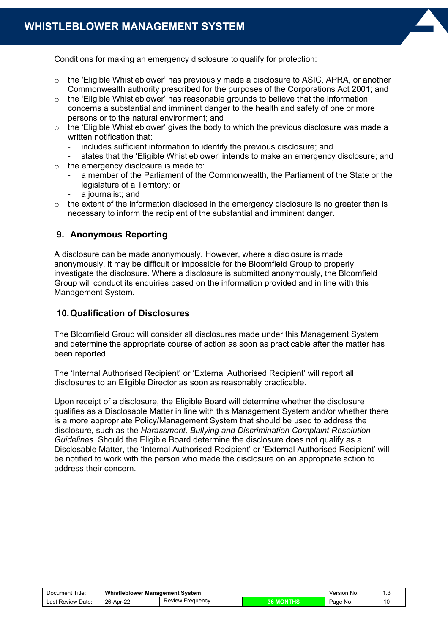

- $\circ$  the 'Eligible Whistleblower' has previously made a disclosure to ASIC, APRA, or another Commonwealth authority prescribed for the purposes of the Corporations Act 2001; and
- $\circ$  the 'Eligible Whistleblower' has reasonable grounds to believe that the information concerns a substantial and imminent danger to the health and safety of one or more persons or to the natural environment; and
- o the 'Eligible Whistleblower' gives the body to which the previous disclosure was made a written notification that:
	- includes sufficient information to identify the previous disclosure; and
- states that the 'Eligible Whistleblower' intends to make an emergency disclosure; and
- $\circ$  the emergency disclosure is made to:
	- a member of the Parliament of the Commonwealth, the Parliament of the State or the legislature of a Territory; or
	- a journalist; and
- o the extent of the information disclosed in the emergency disclosure is no greater than is necessary to inform the recipient of the substantial and imminent danger.

## <span id="page-9-1"></span>**9. Anonymous Reporting**

A disclosure can be made anonymously. However, where a disclosure is made anonymously, it may be difficult or impossible for the Bloomfield Group to properly investigate the disclosure. Where a disclosure is submitted anonymously, the Bloomfield Group will conduct its enquiries based on the information provided and in line with this Management System.

### **10.Qualification of Disclosures**

The Bloomfield Group will consider all disclosures made under this Management System and determine the appropriate course of action as soon as practicable after the matter has been reported.

The 'Internal Authorised Recipient' or 'External Authorised Recipient' will report all disclosures to an Eligible Director as soon as reasonably practicable.

<span id="page-9-0"></span>Upon receipt of a disclosure, the Eligible Board will determine whether the disclosure qualifies as a Disclosable Matter in line with this Management System and/or whether there is a more appropriate Policy/Management System that should be used to address the disclosure, such as the *Harassment, Bullying and Discrimination Complaint Resolution Guidelines*. Should the Eligible Board determine the disclosure does not qualify as a Disclosable Matter, the 'Internal Authorised Recipient' or 'External Authorised Recipient' will be notified to work with the person who made the disclosure on an appropriate action to address their concern.

| Document Title:   |           | ∣ Whistleblower Management System |           | Version No: |  |
|-------------------|-----------|-----------------------------------|-----------|-------------|--|
| Last Review Date: | 26-Apr-22 | Review Frequency                  | 36 MONTHS | Page No:    |  |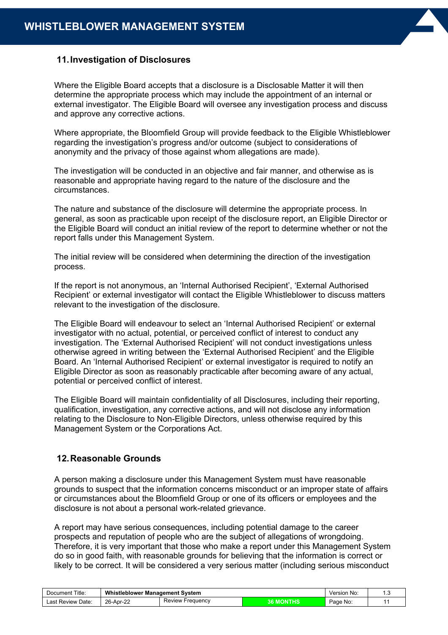### **11.Investigation of Disclosures**

Where the Eligible Board accepts that a disclosure is a Disclosable Matter it will then determine the appropriate process which may include the appointment of an internal or external investigator. The Eligible Board will oversee any investigation process and discuss and approve any corrective actions.

Where appropriate, the Bloomfield Group will provide feedback to the Eligible Whistleblower regarding the investigation's progress and/or outcome (subject to considerations of anonymity and the privacy of those against whom allegations are made).

The investigation will be conducted in an objective and fair manner, and otherwise as is reasonable and appropriate having regard to the nature of the disclosure and the circumstances.

The nature and substance of the disclosure will determine the appropriate process. In general, as soon as practicable upon receipt of the disclosure report, an Eligible Director or the Eligible Board will conduct an initial review of the report to determine whether or not the report falls under this Management System.

The initial review will be considered when determining the direction of the investigation process.

If the report is not anonymous, an 'Internal Authorised Recipient', 'External Authorised Recipient' or external investigator will contact the Eligible Whistleblower to discuss matters relevant to the investigation of the disclosure.

The Eligible Board will endeavour to select an 'Internal Authorised Recipient' or external investigator with no actual, potential, or perceived conflict of interest to conduct any investigation. The 'External Authorised Recipient' will not conduct investigations unless otherwise agreed in writing between the 'External Authorised Recipient' and the Eligible Board. An 'Internal Authorised Recipient' or external investigator is required to notify an Eligible Director as soon as reasonably practicable after becoming aware of any actual, potential or perceived conflict of interest.

The Eligible Board will maintain confidentiality of all Disclosures, including their reporting, qualification, investigation, any corrective actions, and will not disclose any information relating to the Disclosure to Non-Eligible Directors, unless otherwise required by this Management System or the Corporations Act.

# <span id="page-10-0"></span>**12.Reasonable Grounds**

A person making a disclosure under this Management System must have reasonable grounds to suspect that the information concerns misconduct or an improper state of affairs or circumstances about the Bloomfield Group or one of its officers or employees and the disclosure is not about a personal work-related grievance.

A report may have serious consequences, including potential damage to the career prospects and reputation of people who are the subject of allegations of wrongdoing. Therefore, it is very important that those who make a report under this Management System do so in good faith, with reasonable grounds for believing that the information is correct or likely to be correct. It will be considered a very serious matter (including serious misconduct

| Title:<br>Document |           | Whistleblower Management System |    | Version No: | . . ب |
|--------------------|-----------|---------------------------------|----|-------------|-------|
| Last Review Date:  | 26-Apr-22 | <b>Review Frequency</b>         | នេ | Page No:    |       |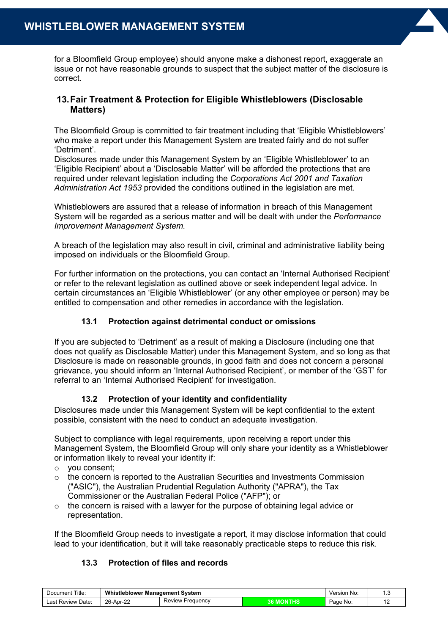for a Bloomfield Group employee) should anyone make a dishonest report, exaggerate an issue or not have reasonable grounds to suspect that the subject matter of the disclosure is correct.

## <span id="page-11-0"></span>**13.Fair Treatment & Protection for Eligible Whistleblowers (Disclosable Matters)**

The Bloomfield Group is committed to fair treatment including that 'Eligible Whistleblowers' who make a report under this Management System are treated fairly and do not suffer 'Detriment'.

Disclosures made under this Management System by an 'Eligible Whistleblower' to an 'Eligible Recipient' about a 'Disclosable Matter' will be afforded the protections that are required under relevant legislation including the *Corporations Act 2001 and Taxation Administration Act 1953* provided the conditions outlined in the legislation are met.

Whistleblowers are assured that a release of information in breach of this Management System will be regarded as a serious matter and will be dealt with under the *Performance Improvement Management System.*

A breach of the legislation may also result in civil, criminal and administrative liability being imposed on individuals or the Bloomfield Group.

For further information on the protections, you can contact an 'Internal Authorised Recipient' or refer to the relevant legislation as outlined above or seek independent legal advice. In certain circumstances an 'Eligible Whistleblower' (or any other employee or person) may be entitled to compensation and other remedies in accordance with the legislation.

## **13.1 Protection against detrimental conduct or omissions**

If you are subjected to 'Detriment' as a result of making a Disclosure (including one that does not qualify as Disclosable Matter) under this Management System, and so long as that Disclosure is made on reasonable grounds, in good faith and does not concern a personal grievance, you should inform an 'Internal Authorised Recipient', or member of the 'GST' for referral to an 'Internal Authorised Recipient' for investigation.

#### **13.2 Protection of your identity and confidentiality**

Disclosures made under this Management System will be kept confidential to the extent possible, consistent with the need to conduct an adequate investigation.

Subject to compliance with legal requirements, upon receiving a report under this Management System, the Bloomfield Group will only share your identity as a Whistleblower or information likely to reveal your identity if:

- o you consent;
- o the concern is reported to the Australian Securities and Investments Commission ("ASIC"), the Australian Prudential Regulation Authority ("APRA"), the Tax Commissioner or the Australian Federal Police ("AFP"); or
- $\circ$  the concern is raised with a lawyer for the purpose of obtaining legal advice or representation.

If the Bloomfield Group needs to investigate a report, it may disclose information that could lead to your identification, but it will take reasonably practicable steps to reduce this risk.

#### **13.3 Protection of files and records**

| Title:<br>Document |           | <b>Whistleblower Management System</b> |  | Version No: | ں . |
|--------------------|-----------|----------------------------------------|--|-------------|-----|
| Last Review Date:  | 26-Apr-22 | Review<br>Frequency                    |  | Page No:    |     |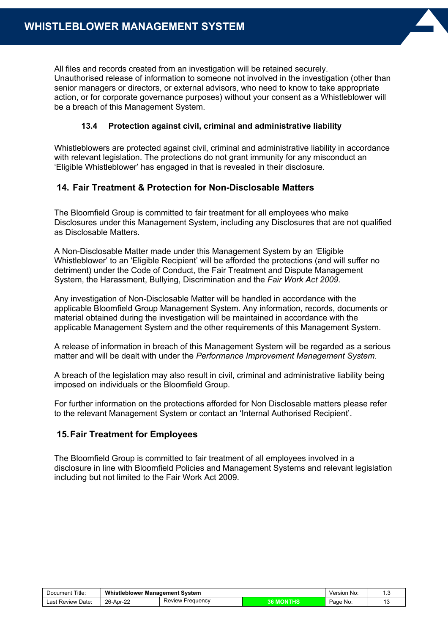All files and records created from an investigation will be retained securely. Unauthorised release of information to someone not involved in the investigation (other than senior managers or directors, or external advisors, who need to know to take appropriate action, or for corporate governance purposes) without your consent as a Whistleblower will be a breach of this Management System.

#### **13.4 Protection against civil, criminal and administrative liability**

Whistleblowers are protected against civil, criminal and administrative liability in accordance with relevant legislation. The protections do not grant immunity for any misconduct an 'Eligible Whistleblower' has engaged in that is revealed in their disclosure.

### <span id="page-12-0"></span>**14. Fair Treatment & Protection for Non-Disclosable Matters**

The Bloomfield Group is committed to fair treatment for all employees who make Disclosures under this Management System, including any Disclosures that are not qualified as Disclosable Matters.

A Non-Disclosable Matter made under this Management System by an 'Eligible Whistleblower' to an 'Eligible Recipient' will be afforded the protections (and will suffer no detriment) under the Code of Conduct, the Fair Treatment and Dispute Management System, the Harassment, Bullying, Discrimination and the *Fair Work Act 2009*.

Any investigation of Non-Disclosable Matter will be handled in accordance with the applicable Bloomfield Group Management System. Any information, records, documents or material obtained during the investigation will be maintained in accordance with the applicable Management System and the other requirements of this Management System.

A release of information in breach of this Management System will be regarded as a serious matter and will be dealt with under the *Performance Improvement Management System.*

A breach of the legislation may also result in civil, criminal and administrative liability being imposed on individuals or the Bloomfield Group.

For further information on the protections afforded for Non Disclosable matters please refer to the relevant Management System or contact an 'Internal Authorised Recipient'.

#### **15.Fair Treatment for Employees**

The Bloomfield Group is committed to fair treatment of all employees involved in a disclosure in line with Bloomfield Policies and Management Systems and relevant legislation including but not limited to the Fair Work Act 2009.

| Title:<br>Document   |                     | <b>Whistleblower Management System</b> |              | Version No: | . . ب |
|----------------------|---------------------|----------------------------------------|--------------|-------------|-------|
| ast Review.<br>Date: | 26-Apr-22<br>$\sim$ | Review<br>Frequency                    | וגרוו<br>86. | Page No:    |       |